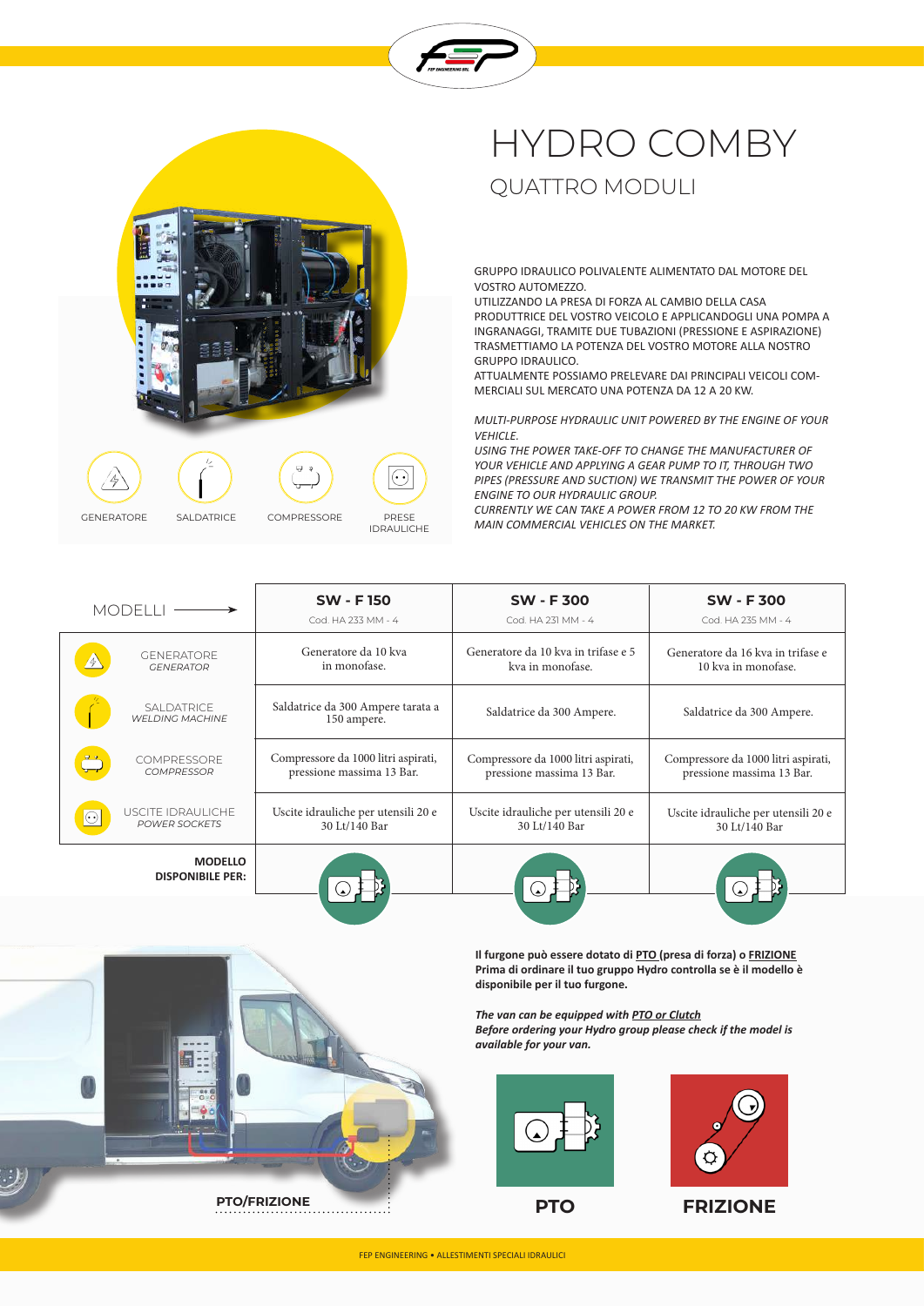











 $\Box$ 



IDRAULICHE

 $\widehat{(\cdot)}$ 

## HYDRO COMBY QUATTRO MODULI

GRUPPO IDRAULICO POLIVALENTE ALIMENTATO DAL MOTORE DEL VOSTRO AUTOMEZZO.

UTILIZZANDO LA PRESA DI FORZA AL CAMBIO DELLA CASA PRODUTTRICE DEL VOSTRO VEICOLO E APPLICANDOGLI UNA POMPA A INGRANAGGI, TRAMITE DUE TUBAZIONI (PRESSIONE E ASPIRAZIONE) TRASMETTIAMO LA POTENZA DEL VOSTRO MOTORE ALLA NOSTRO GRUPPO IDRAULICO.

ATTUALMENTE POSSIAMO PRELEVARE DAI PRINCIPALI VEICOLI COM-MERCIALI SUL MERCATO UNA POTENZA DA 12 A 20 KW.

*MULTI-PURPOSE HYDRAULIC UNIT POWERED BY THE ENGINE OF YOUR VEHICLE.*

*USING THE POWER TAKE-OFF TO CHANGE THE MANUFACTURER OF YOUR VEHICLE AND APPLYING A GEAR PUMP TO IT, THROUGH TWO PIPES (PRESSURE AND SUCTION) WE TRANSMIT THE POWER OF YOUR ENGINE TO OUR HYDRAULIC GROUP.*

*CURRENTLY WE CAN TAKE A POWER FROM 12 TO 20 KW FROM THE MAIN COMMERCIAL VEHICLES ON THE MARKET.*

| <b>MODELLI</b>                            | <b>SW - F150</b>                                 | <b>SW - F300</b>                    | <b>SW-F300</b>                      |
|-------------------------------------------|--------------------------------------------------|-------------------------------------|-------------------------------------|
|                                           | Cod. HA 233 MM - 4                               | Cod. HA 231 MM - 4                  | Cod. HA 235 MM - 4                  |
| <b>GENERATORE</b>                         | Generatore da 10 kva                             | Generatore da 10 kva in trifase e 5 | Generatore da 16 kva in trifase e   |
| <b>GENERATOR</b>                          | in monofase.                                     | kva in monofase.                    | 10 kva in monofase.                 |
| SAI DATRICE<br><b>WELDING MACHINE</b>     | Saldatrice da 300 Ampere tarata a<br>150 ampere. | Saldatrice da 300 Ampere.           | Saldatrice da 300 Ampere.           |
| <b>COMPRESSORE</b>                        | Compressore da 1000 litri aspirati,              | Compressore da 1000 litri aspirati, | Compressore da 1000 litri aspirati, |
| <b>COMPRESSOR</b>                         | pressione massima 13 Bar.                        | pressione massima 13 Bar.           | pressione massima 13 Bar.           |
| USCITE IDRAULICHE                         | Uscite idrauliche per utensili 20 e              | Uscite idrauliche per utensili 20 e | Uscite idrauliche per utensili 20 e |
| <b>POWER SOCKETS</b>                      | 30 Lt/140 Bar                                    | 30 Lt/140 Bar                       | 30 Lt/140 Bar                       |
| <b>MODELLO</b><br><b>DISPONIBILE PER:</b> |                                                  |                                     |                                     |

**Il furgone può essere dotato di PTO (presa di forza) o FRIZIONE Prima di ordinare il tuo gruppo Hydro controlla se è il modello è disponibile per il tuo furgone.**

*The van can be equipped with PTO or Clutch*

*Before ordering your Hydro group please check if the model is available for your van.*





**PTO FRIZIONE**



FEP ENGINEERING • ALLESTIMENTI SPECIALI IDRAULICI